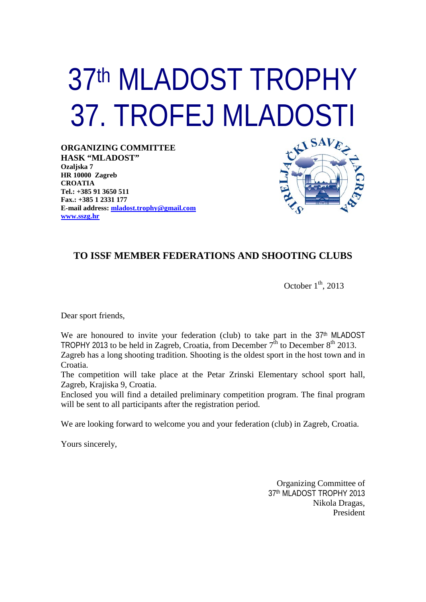# 37th MLADOST TROPHY 37. TROFEJ MLADOSTI

**ORGANIZING COMMITTEE HASK "MLADOST" Ozaljska 7 HR 10000 Zagreb CROATIA Tel.: +385 91 3650 511 Fax.: +385 1 2331 177 E-mail address: [mladost.trophy@gmail.com](mailto:mladost.trophy@gmail.com) [www.sszg.hr](http://www.sszg.hr/)**



### **TO ISSF MEMBER FEDERATIONS AND SHOOTING CLUBS**

October  $1<sup>th</sup>$ , 2013

Dear sport friends,

We are honoured to invite your federation (club) to take part in the  $37<sup>th</sup>$  MLADOST TROPHY 2013 to be held in Zagreb, Croatia, from December  $7^{\text{th}}$  to December  $8^{\text{th}}$  2013.

Zagreb has a long shooting tradition. Shooting is the oldest sport in the host town and in Croatia.

The competition will take place at the Petar Zrinski Elementary school sport hall, Zagreb, Krajiska 9, Croatia.

Enclosed you will find a detailed preliminary competition program. The final program will be sent to all participants after the registration period.

We are looking forward to welcome you and your federation (club) in Zagreb, Croatia.

Yours sincerely,

Organizing Committee of 37th MLADOST TROPHY 2013 Nikola Dragas, President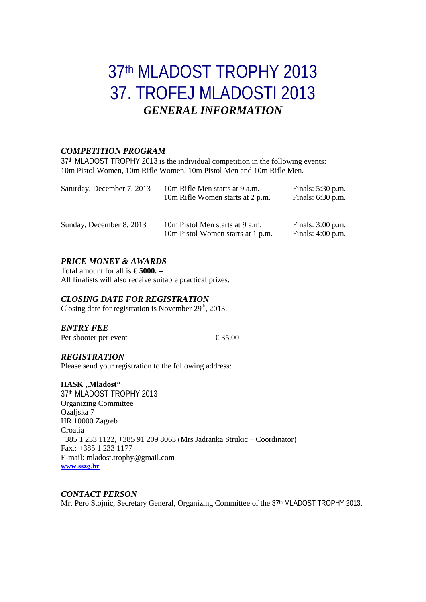## 37th MLADOST TROPHY 2013 37. TROFEJ MLADOSTI 2013 *GENERAL INFORMATION*

#### *COMPETITION PROGRAM*

37th MLADOST TROPHY 2013 is the individual competition in the following events: 10m Pistol Women, 10m Rifle Women, 10m Pistol Men and 10m Rifle Men.

| Saturday, December 7, 2013 | 10m Rifle Men starts at 9 a.m.<br>10m Rifle Women starts at 2 p.m.   | Finals: 5:30 p.m.<br>Finals: 6:30 p.m.     |
|----------------------------|----------------------------------------------------------------------|--------------------------------------------|
| Sunday, December 8, 2013   | 10m Pistol Men starts at 9 a.m.<br>10m Pistol Women starts at 1 p.m. | Finals: $3:00$ p.m.<br>Finals: $4:00$ p.m. |

#### *PRICE MONEY & AWARDS*

Total amount for all is **€ 5000. –** All finalists will also receive suitable practical prizes.

#### *CLOSING DATE FOR REGISTRATION*

Closing date for registration is November  $29<sup>th</sup>$ , 2013.

*ENTRY FEE*

Per shooter per event  $\epsilon$ 35,00

#### *REGISTRATION*

Please send your registration to the following address:

#### **HASK**,,Mladost"

37th MLADOST TROPHY 2013 Organizing Committee Ozaljska 7 HR 10000 Zagreb Croatia +385 1 233 1122, +385 91 209 8063 (Mrs Jadranka Strukic – Coordinator) Fax.: +385 1 233 1177 E-mail: mladost.trophy@gmail.com **[www.sszg.hr](http://www.sszg.hr/)**

#### *CONTACT PERSON*

Mr. Pero Stojnic, Secretary General, Organizing Committee of the 37<sup>th</sup> MLADOST TROPHY 2013.